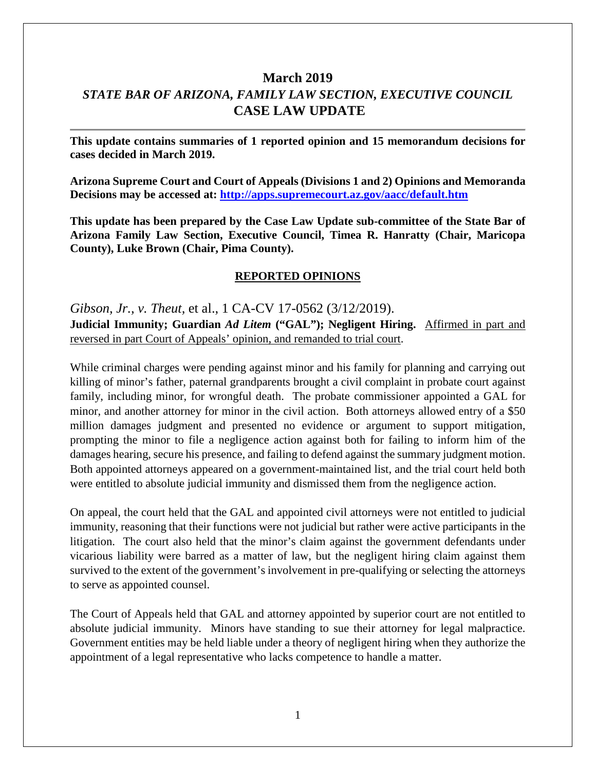# **March 2019** *STATE BAR OF ARIZONA, FAMILY LAW SECTION, EXECUTIVE COUNCIL* **CASE LAW UPDATE**

**This update contains summaries of 1 reported opinion and 15 memorandum decisions for cases decided in March 2019.**

**Arizona Supreme Court and Court of Appeals (Divisions 1 and 2) Opinions and Memoranda Decisions may be accessed at: <http://apps.supremecourt.az.gov/aacc/default.htm>**

**This update has been prepared by the Case Law Update sub-committee of the State Bar of Arizona Family Law Section, Executive Council, Timea R. Hanratty (Chair, Maricopa County), Luke Brown (Chair, Pima County).**

#### **REPORTED OPINIONS**

*Gibson, Jr., v. Theut,* et al., 1 CA-CV 17-0562 (3/12/2019). **Judicial Immunity; Guardian** *Ad Litem* **("GAL"); Negligent Hiring.** Affirmed in part and reversed in part Court of Appeals' opinion, and remanded to trial court.

While criminal charges were pending against minor and his family for planning and carrying out killing of minor's father, paternal grandparents brought a civil complaint in probate court against family, including minor, for wrongful death. The probate commissioner appointed a GAL for minor, and another attorney for minor in the civil action. Both attorneys allowed entry of a \$50 million damages judgment and presented no evidence or argument to support mitigation, prompting the minor to file a negligence action against both for failing to inform him of the damages hearing, secure his presence, and failing to defend against the summary judgment motion. Both appointed attorneys appeared on a government-maintained list, and the trial court held both were entitled to absolute judicial immunity and dismissed them from the negligence action.

On appeal, the court held that the GAL and appointed civil attorneys were not entitled to judicial immunity, reasoning that their functions were not judicial but rather were active participants in the litigation. The court also held that the minor's claim against the government defendants under vicarious liability were barred as a matter of law, but the negligent hiring claim against them survived to the extent of the government's involvement in pre-qualifying or selecting the attorneys to serve as appointed counsel.

The Court of Appeals held that GAL and attorney appointed by superior court are not entitled to absolute judicial immunity. Minors have standing to sue their attorney for legal malpractice. Government entities may be held liable under a theory of negligent hiring when they authorize the appointment of a legal representative who lacks competence to handle a matter.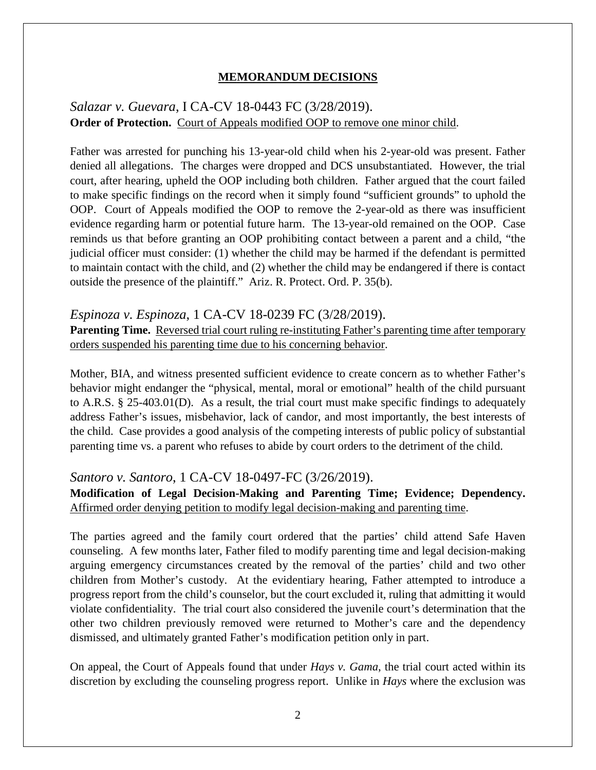#### **MEMORANDUM DECISIONS**

### *Salazar v. Guevara*, I CA-CV 18-0443 FC (3/28/2019). **Order of Protection.** Court of Appeals modified OOP to remove one minor child.

Father was arrested for punching his 13-year-old child when his 2-year-old was present. Father denied all allegations. The charges were dropped and DCS unsubstantiated. However, the trial court, after hearing, upheld the OOP including both children. Father argued that the court failed to make specific findings on the record when it simply found "sufficient grounds" to uphold the OOP. Court of Appeals modified the OOP to remove the 2-year-old as there was insufficient evidence regarding harm or potential future harm. The 13-year-old remained on the OOP. Case reminds us that before granting an OOP prohibiting contact between a parent and a child, "the judicial officer must consider: (1) whether the child may be harmed if the defendant is permitted to maintain contact with the child, and (2) whether the child may be endangered if there is contact outside the presence of the plaintiff." Ariz. R. Protect. Ord. P. 35(b).

#### *Espinoza v. Espinoza*, 1 CA-CV 18-0239 FC (3/28/2019).

**Parenting Time.** Reversed trial court ruling re-instituting Father's parenting time after temporary orders suspended his parenting time due to his concerning behavior.

Mother, BIA, and witness presented sufficient evidence to create concern as to whether Father's behavior might endanger the "physical, mental, moral or emotional" health of the child pursuant to A.R.S. § 25-403.01(D). As a result, the trial court must make specific findings to adequately address Father's issues, misbehavior, lack of candor, and most importantly, the best interests of the child. Case provides a good analysis of the competing interests of public policy of substantial parenting time vs. a parent who refuses to abide by court orders to the detriment of the child.

#### *Santoro v. Santoro*, 1 CA-CV 18-0497-FC (3/26/2019).

**Modification of Legal Decision-Making and Parenting Time; Evidence; Dependency.**  Affirmed order denying petition to modify legal decision-making and parenting time.

The parties agreed and the family court ordered that the parties' child attend Safe Haven counseling. A few months later, Father filed to modify parenting time and legal decision-making arguing emergency circumstances created by the removal of the parties' child and two other children from Mother's custody. At the evidentiary hearing, Father attempted to introduce a progress report from the child's counselor, but the court excluded it, ruling that admitting it would violate confidentiality. The trial court also considered the juvenile court's determination that the other two children previously removed were returned to Mother's care and the dependency dismissed, and ultimately granted Father's modification petition only in part.

On appeal, the Court of Appeals found that under *Hays v. Gama*, the trial court acted within its discretion by excluding the counseling progress report. Unlike in *Hays* where the exclusion was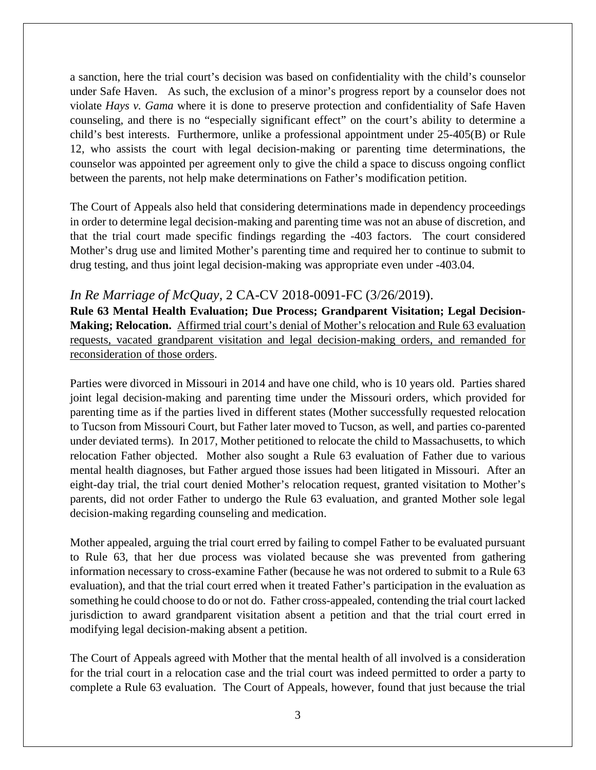a sanction, here the trial court's decision was based on confidentiality with the child's counselor under Safe Haven. As such, the exclusion of a minor's progress report by a counselor does not violate *Hays v. Gama* where it is done to preserve protection and confidentiality of Safe Haven counseling, and there is no "especially significant effect" on the court's ability to determine a child's best interests. Furthermore, unlike a professional appointment under 25-405(B) or Rule 12, who assists the court with legal decision-making or parenting time determinations, the counselor was appointed per agreement only to give the child a space to discuss ongoing conflict between the parents, not help make determinations on Father's modification petition.

The Court of Appeals also held that considering determinations made in dependency proceedings in order to determine legal decision-making and parenting time was not an abuse of discretion, and that the trial court made specific findings regarding the -403 factors. The court considered Mother's drug use and limited Mother's parenting time and required her to continue to submit to drug testing, and thus joint legal decision-making was appropriate even under -403.04.

### *In Re Marriage of McQuay*, 2 CA-CV 2018-0091-FC (3/26/2019).

**Rule 63 Mental Health Evaluation; Due Process; Grandparent Visitation; Legal Decision-Making; Relocation.** Affirmed trial court's denial of Mother's relocation and Rule 63 evaluation requests, vacated grandparent visitation and legal decision-making orders, and remanded for reconsideration of those orders.

Parties were divorced in Missouri in 2014 and have one child, who is 10 years old. Parties shared joint legal decision-making and parenting time under the Missouri orders, which provided for parenting time as if the parties lived in different states (Mother successfully requested relocation to Tucson from Missouri Court, but Father later moved to Tucson, as well, and parties co-parented under deviated terms). In 2017, Mother petitioned to relocate the child to Massachusetts, to which relocation Father objected. Mother also sought a Rule 63 evaluation of Father due to various mental health diagnoses, but Father argued those issues had been litigated in Missouri. After an eight-day trial, the trial court denied Mother's relocation request, granted visitation to Mother's parents, did not order Father to undergo the Rule 63 evaluation, and granted Mother sole legal decision-making regarding counseling and medication.

Mother appealed, arguing the trial court erred by failing to compel Father to be evaluated pursuant to Rule 63, that her due process was violated because she was prevented from gathering information necessary to cross-examine Father (because he was not ordered to submit to a Rule 63 evaluation), and that the trial court erred when it treated Father's participation in the evaluation as something he could choose to do or not do. Father cross-appealed, contending the trial court lacked jurisdiction to award grandparent visitation absent a petition and that the trial court erred in modifying legal decision-making absent a petition.

The Court of Appeals agreed with Mother that the mental health of all involved is a consideration for the trial court in a relocation case and the trial court was indeed permitted to order a party to complete a Rule 63 evaluation. The Court of Appeals, however, found that just because the trial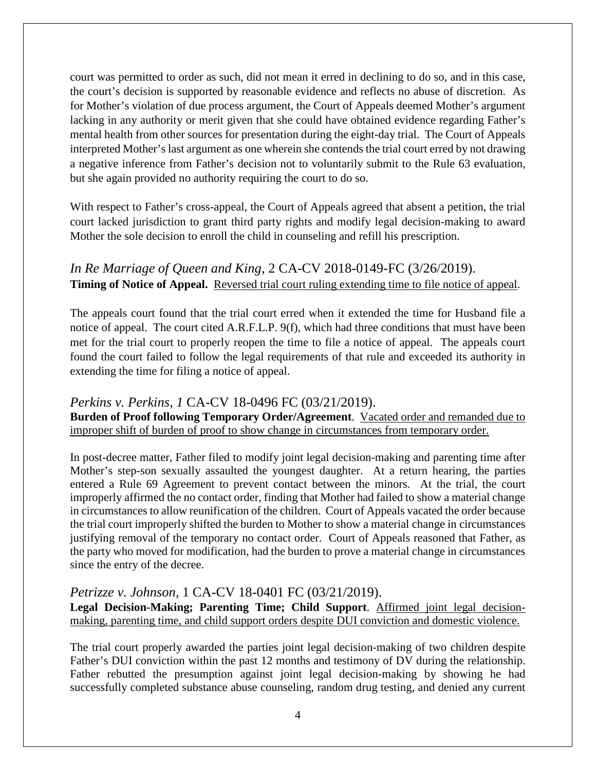court was permitted to order as such, did not mean it erred in declining to do so, and in this case, the court's decision is supported by reasonable evidence and reflects no abuse of discretion. As for Mother's violation of due process argument, the Court of Appeals deemed Mother's argument lacking in any authority or merit given that she could have obtained evidence regarding Father's mental health from other sources for presentation during the eight-day trial. The Court of Appeals interpreted Mother's last argument as one wherein she contends the trial court erred by not drawing a negative inference from Father's decision not to voluntarily submit to the Rule 63 evaluation, but she again provided no authority requiring the court to do so.

With respect to Father's cross-appeal, the Court of Appeals agreed that absent a petition, the trial court lacked jurisdiction to grant third party rights and modify legal decision-making to award Mother the sole decision to enroll the child in counseling and refill his prescription.

*In Re Marriage of Queen and King*, 2 CA-CV 2018-0149-FC (3/26/2019). **Timing of Notice of Appeal.** Reversed trial court ruling extending time to file notice of appeal.

The appeals court found that the trial court erred when it extended the time for Husband file a notice of appeal. The court cited A.R.F.L.P. 9(f), which had three conditions that must have been met for the trial court to properly reopen the time to file a notice of appeal. The appeals court found the court failed to follow the legal requirements of that rule and exceeded its authority in extending the time for filing a notice of appeal.

## *Perkins v. Perkins, 1* CA-CV 18-0496 FC (03/21/2019).

**Burden of Proof following Temporary Order/Agreement**. Vacated order and remanded due to improper shift of burden of proof to show change in circumstances from temporary order.

In post-decree matter, Father filed to modify joint legal decision-making and parenting time after Mother's step-son sexually assaulted the youngest daughter. At a return hearing, the parties entered a Rule 69 Agreement to prevent contact between the minors. At the trial, the court improperly affirmed the no contact order, finding that Mother had failed to show a material change in circumstances to allow reunification of the children. Court of Appeals vacated the order because the trial court improperly shifted the burden to Mother to show a material change in circumstances justifying removal of the temporary no contact order. Court of Appeals reasoned that Father, as the party who moved for modification, had the burden to prove a material change in circumstances since the entry of the decree.

### *Petrizze v. Johnson,* 1 CA-CV 18-0401 FC (03/21/2019).

**Legal Decision-Making; Parenting Time; Child Support**. Affirmed joint legal decisionmaking, parenting time, and child support orders despite DUI conviction and domestic violence.

The trial court properly awarded the parties joint legal decision-making of two children despite Father's DUI conviction within the past 12 months and testimony of DV during the relationship. Father rebutted the presumption against joint legal decision-making by showing he had successfully completed substance abuse counseling, random drug testing, and denied any current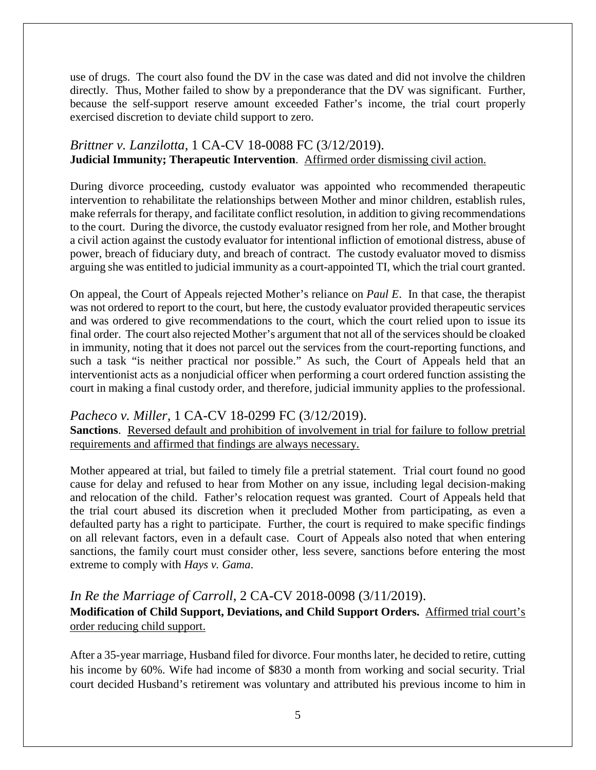use of drugs. The court also found the DV in the case was dated and did not involve the children directly. Thus, Mother failed to show by a preponderance that the DV was significant. Further, because the self-support reserve amount exceeded Father's income, the trial court properly exercised discretion to deviate child support to zero.

### *Brittner v. Lanzilotta,* 1 CA-CV 18-0088 FC (3/12/2019). **Judicial Immunity; Therapeutic Intervention**. Affirmed order dismissing civil action.

During divorce proceeding, custody evaluator was appointed who recommended therapeutic intervention to rehabilitate the relationships between Mother and minor children, establish rules, make referrals for therapy, and facilitate conflict resolution, in addition to giving recommendations to the court. During the divorce, the custody evaluator resigned from her role, and Mother brought a civil action against the custody evaluator for intentional infliction of emotional distress, abuse of power, breach of fiduciary duty, and breach of contract. The custody evaluator moved to dismiss arguing she was entitled to judicial immunity as a court-appointed TI, which the trial court granted.

On appeal, the Court of Appeals rejected Mother's reliance on *Paul E*. In that case, the therapist was not ordered to report to the court, but here, the custody evaluator provided therapeutic services and was ordered to give recommendations to the court, which the court relied upon to issue its final order. The court also rejected Mother's argument that not all of the services should be cloaked in immunity, noting that it does not parcel out the services from the court-reporting functions, and such a task "is neither practical nor possible." As such, the Court of Appeals held that an interventionist acts as a nonjudicial officer when performing a court ordered function assisting the court in making a final custody order, and therefore, judicial immunity applies to the professional.

## *Pacheco v. Miller,* 1 CA-CV 18-0299 FC (3/12/2019).

**Sanctions**. Reversed default and prohibition of involvement in trial for failure to follow pretrial requirements and affirmed that findings are always necessary.

Mother appeared at trial, but failed to timely file a pretrial statement. Trial court found no good cause for delay and refused to hear from Mother on any issue, including legal decision-making and relocation of the child. Father's relocation request was granted. Court of Appeals held that the trial court abused its discretion when it precluded Mother from participating, as even a defaulted party has a right to participate. Further, the court is required to make specific findings on all relevant factors, even in a default case. Court of Appeals also noted that when entering sanctions, the family court must consider other, less severe, sanctions before entering the most extreme to comply with *Hays v. Gama*.

*In Re the Marriage of Carroll*, 2 CA-CV 2018-0098 (3/11/2019). **Modification of Child Support, Deviations, and Child Support Orders.** Affirmed trial court's order reducing child support.

After a 35-year marriage, Husband filed for divorce. Four months later, he decided to retire, cutting his income by 60%. Wife had income of \$830 a month from working and social security. Trial court decided Husband's retirement was voluntary and attributed his previous income to him in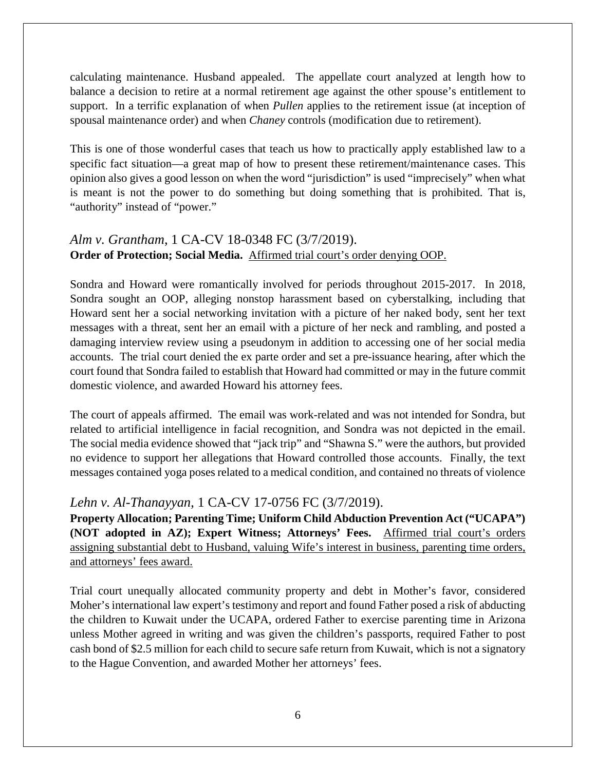calculating maintenance. Husband appealed. The appellate court analyzed at length how to balance a decision to retire at a normal retirement age against the other spouse's entitlement to support. In a terrific explanation of when *Pullen* applies to the retirement issue (at inception of spousal maintenance order) and when *Chaney* controls (modification due to retirement).

This is one of those wonderful cases that teach us how to practically apply established law to a specific fact situation—a great map of how to present these retirement/maintenance cases. This opinion also gives a good lesson on when the word "jurisdiction" is used "imprecisely" when what is meant is not the power to do something but doing something that is prohibited. That is, "authority" instead of "power."

## *Alm v. Grantham*, 1 CA-CV 18-0348 FC (3/7/2019). **Order of Protection; Social Media.** Affirmed trial court's order denying OOP.

Sondra and Howard were romantically involved for periods throughout 2015-2017. In 2018, Sondra sought an OOP, alleging nonstop harassment based on cyberstalking, including that Howard sent her a social networking invitation with a picture of her naked body, sent her text messages with a threat, sent her an email with a picture of her neck and rambling, and posted a damaging interview review using a pseudonym in addition to accessing one of her social media accounts. The trial court denied the ex parte order and set a pre-issuance hearing, after which the court found that Sondra failed to establish that Howard had committed or may in the future commit domestic violence, and awarded Howard his attorney fees.

The court of appeals affirmed. The email was work-related and was not intended for Sondra, but related to artificial intelligence in facial recognition, and Sondra was not depicted in the email. The social media evidence showed that "jack trip" and "Shawna S." were the authors, but provided no evidence to support her allegations that Howard controlled those accounts. Finally, the text messages contained yoga poses related to a medical condition, and contained no threats of violence

# *Lehn v. Al-Thanayyan*, 1 CA-CV 17-0756 FC (3/7/2019).

**Property Allocation; Parenting Time; Uniform Child Abduction Prevention Act ("UCAPA") (NOT adopted in AZ); Expert Witness; Attorneys' Fees.** Affirmed trial court's orders assigning substantial debt to Husband, valuing Wife's interest in business, parenting time orders, and attorneys' fees award.

Trial court unequally allocated community property and debt in Mother's favor, considered Moher's international law expert's testimony and report and found Father posed a risk of abducting the children to Kuwait under the UCAPA, ordered Father to exercise parenting time in Arizona unless Mother agreed in writing and was given the children's passports, required Father to post cash bond of \$2.5 million for each child to secure safe return from Kuwait, which is not a signatory to the Hague Convention, and awarded Mother her attorneys' fees.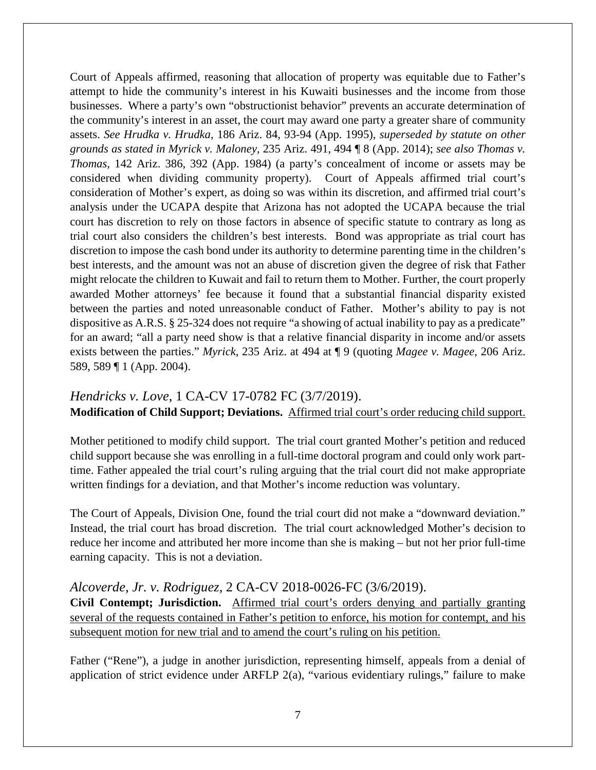Court of Appeals affirmed, reasoning that allocation of property was equitable due to Father's attempt to hide the community's interest in his Kuwaiti businesses and the income from those businesses. Where a party's own "obstructionist behavior" prevents an accurate determination of the community's interest in an asset, the court may award one party a greater share of community assets. *See Hrudka v. Hrudka*, 186 Ariz. 84, 93-94 (App. 1995), *superseded by statute on other grounds as stated in Myrick v. Maloney*, 235 Ariz. 491, 494 ¶ 8 (App. 2014); *see also Thomas v. Thomas*, 142 Ariz. 386, 392 (App. 1984) (a party's concealment of income or assets may be considered when dividing community property). Court of Appeals affirmed trial court's consideration of Mother's expert, as doing so was within its discretion, and affirmed trial court's analysis under the UCAPA despite that Arizona has not adopted the UCAPA because the trial court has discretion to rely on those factors in absence of specific statute to contrary as long as trial court also considers the children's best interests. Bond was appropriate as trial court has discretion to impose the cash bond under its authority to determine parenting time in the children's best interests, and the amount was not an abuse of discretion given the degree of risk that Father might relocate the children to Kuwait and fail to return them to Mother. Further, the court properly awarded Mother attorneys' fee because it found that a substantial financial disparity existed between the parties and noted unreasonable conduct of Father. Mother's ability to pay is not dispositive as A.R.S. § 25-324 does not require "a showing of actual inability to pay as a predicate" for an award; "all a party need show is that a relative financial disparity in income and/or assets exists between the parties." *Myrick*, 235 Ariz. at 494 at ¶ 9 (quoting *Magee v. Magee*, 206 Ariz. 589, 589 ¶ 1 (App. 2004).

### *Hendricks v. Love*, 1 CA-CV 17-0782 FC (3/7/2019).

**Modification of Child Support; Deviations.** Affirmed trial court's order reducing child support.

Mother petitioned to modify child support. The trial court granted Mother's petition and reduced child support because she was enrolling in a full-time doctoral program and could only work parttime. Father appealed the trial court's ruling arguing that the trial court did not make appropriate written findings for a deviation, and that Mother's income reduction was voluntary.

The Court of Appeals, Division One, found the trial court did not make a "downward deviation." Instead, the trial court has broad discretion. The trial court acknowledged Mother's decision to reduce her income and attributed her more income than she is making – but not her prior full-time earning capacity. This is not a deviation.

## *Alcoverde, Jr. v. Rodriguez*, 2 CA-CV 2018-0026-FC (3/6/2019).

**Civil Contempt; Jurisdiction.** Affirmed trial court's orders denying and partially granting several of the requests contained in Father's petition to enforce, his motion for contempt, and his subsequent motion for new trial and to amend the court's ruling on his petition.

Father ("Rene"), a judge in another jurisdiction, representing himself, appeals from a denial of application of strict evidence under ARFLP 2(a), "various evidentiary rulings," failure to make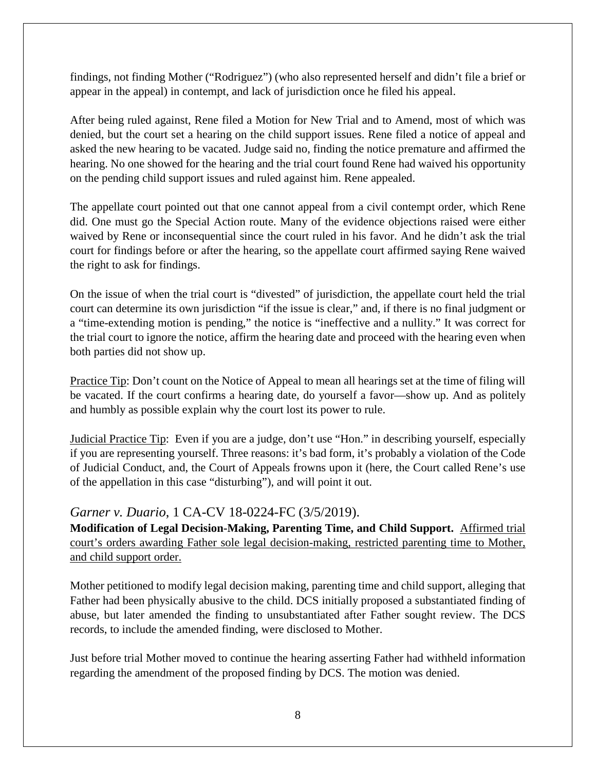findings, not finding Mother ("Rodriguez") (who also represented herself and didn't file a brief or appear in the appeal) in contempt, and lack of jurisdiction once he filed his appeal.

After being ruled against, Rene filed a Motion for New Trial and to Amend, most of which was denied, but the court set a hearing on the child support issues. Rene filed a notice of appeal and asked the new hearing to be vacated. Judge said no, finding the notice premature and affirmed the hearing. No one showed for the hearing and the trial court found Rene had waived his opportunity on the pending child support issues and ruled against him. Rene appealed.

The appellate court pointed out that one cannot appeal from a civil contempt order, which Rene did. One must go the Special Action route. Many of the evidence objections raised were either waived by Rene or inconsequential since the court ruled in his favor. And he didn't ask the trial court for findings before or after the hearing, so the appellate court affirmed saying Rene waived the right to ask for findings.

On the issue of when the trial court is "divested" of jurisdiction, the appellate court held the trial court can determine its own jurisdiction "if the issue is clear," and, if there is no final judgment or a "time-extending motion is pending," the notice is "ineffective and a nullity." It was correct for the trial court to ignore the notice, affirm the hearing date and proceed with the hearing even when both parties did not show up.

Practice Tip: Don't count on the Notice of Appeal to mean all hearings set at the time of filing will be vacated. If the court confirms a hearing date, do yourself a favor—show up. And as politely and humbly as possible explain why the court lost its power to rule.

Judicial Practice Tip: Even if you are a judge, don't use "Hon." in describing yourself, especially if you are representing yourself. Three reasons: it's bad form, it's probably a violation of the Code of Judicial Conduct, and, the Court of Appeals frowns upon it (here, the Court called Rene's use of the appellation in this case "disturbing"), and will point it out.

## *Garner v. Duario*, 1 CA-CV 18-0224-FC (3/5/2019).

**Modification of Legal Decision-Making, Parenting Time, and Child Support.** Affirmed trial court's orders awarding Father sole legal decision-making, restricted parenting time to Mother, and child support order.

Mother petitioned to modify legal decision making, parenting time and child support, alleging that Father had been physically abusive to the child. DCS initially proposed a substantiated finding of abuse, but later amended the finding to unsubstantiated after Father sought review. The DCS records, to include the amended finding, were disclosed to Mother.

Just before trial Mother moved to continue the hearing asserting Father had withheld information regarding the amendment of the proposed finding by DCS. The motion was denied.